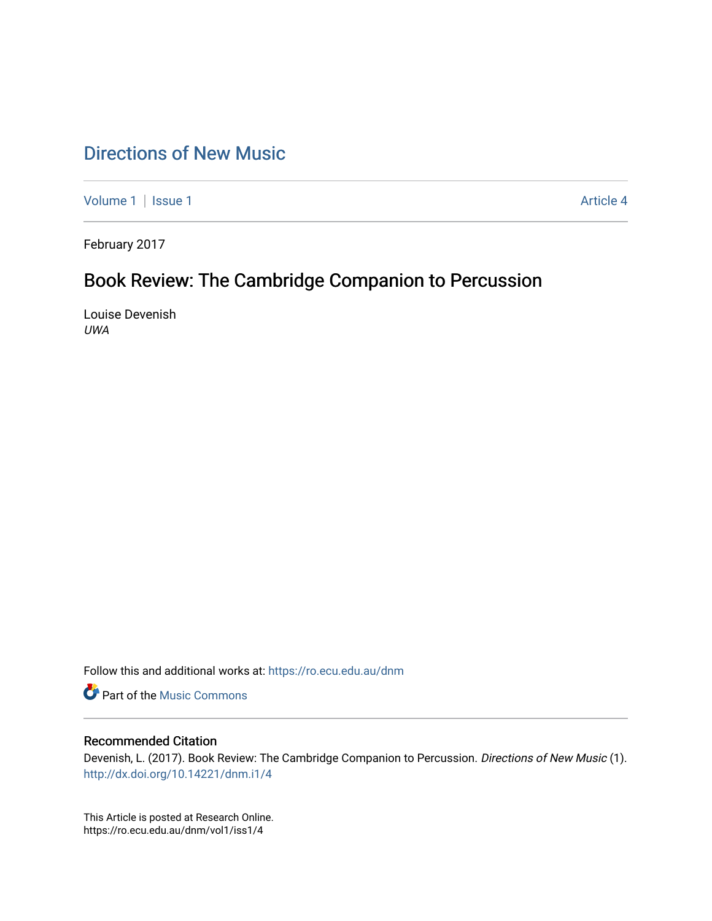## [Directions of New Music](https://ro.ecu.edu.au/dnm)

[Volume 1](https://ro.ecu.edu.au/dnm/vol1) | [Issue 1](https://ro.ecu.edu.au/dnm/vol1/iss1) Article 4

February 2017

# Book Review: The Cambridge Companion to Percussion

Louise Devenish UWA

Follow this and additional works at: [https://ro.ecu.edu.au/dnm](https://ro.ecu.edu.au/dnm?utm_source=ro.ecu.edu.au%2Fdnm%2Fvol1%2Fiss1%2F4&utm_medium=PDF&utm_campaign=PDFCoverPages) 

**Part of the Music Commons** 

#### Recommended Citation

Devenish, L. (2017). Book Review: The Cambridge Companion to Percussion. Directions of New Music (1). <http://dx.doi.org/10.14221/dnm.i1/4>

This Article is posted at Research Online. https://ro.ecu.edu.au/dnm/vol1/iss1/4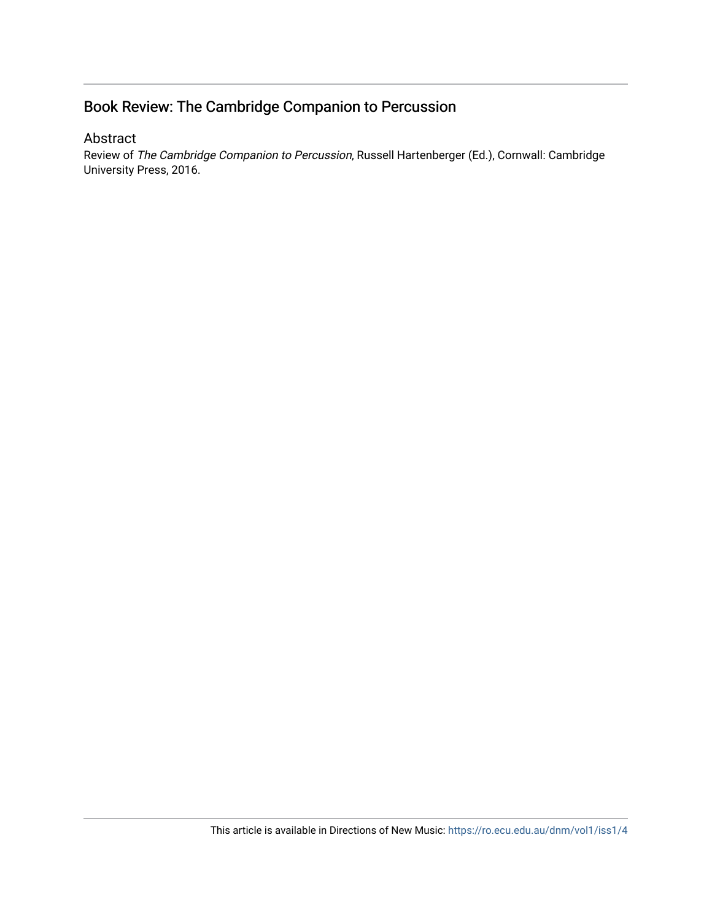### Book Review: The Cambridge Companion to Percussion

#### Abstract

Review of The Cambridge Companion to Percussion, Russell Hartenberger (Ed.), Cornwall: Cambridge University Press, 2016.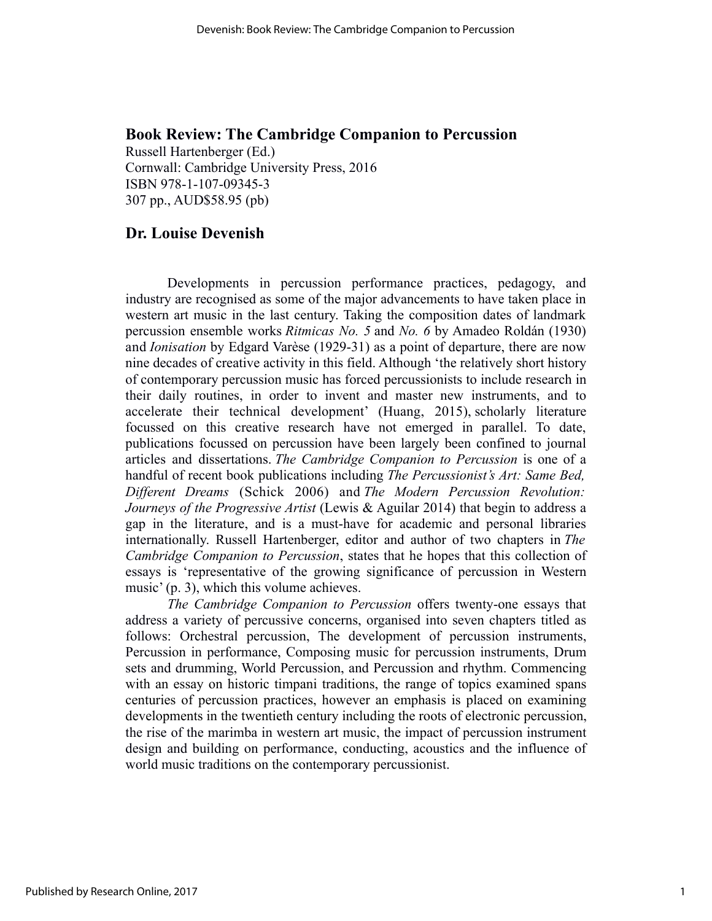#### **Book Review: The Cambridge Companion to Percussion**

Russell Hartenberger (Ed.) Cornwall: Cambridge University Press, 2016 ISBN 978-1-107-09345-3 307 pp., AUD\$58.95 (pb)

#### **Dr. Louise Devenish**

Developments in percussion performance practices, pedagogy, and industry are recognised as some of the major advancements to have taken place in western art music in the last century. Taking the composition dates of landmark percussion ensemble works *Ritmicas No. 5* and *No. 6* by Amadeo Roldán (1930) and *Ionisation* by Edgard Varèse (1929-31) as a point of departure, there are now nine decades of creative activity in this field. Although 'the relatively short history of contemporary percussion music has forced percussionists to include research in their daily routines, in order to invent and master new instruments, and to accelerate their technical development' (Huang, 2015), scholarly literature focussed on this creative research have not emerged in parallel. To date, publications focussed on percussion have been largely been confined to journal articles and dissertations. *The Cambridge Companion to Percussion* is one of a handful of recent book publications including *The Percussionist's Art: Same Bed, Different Dreams* (Schick 2006) and *The Modern Percussion Revolution: Journeys of the Progressive Artist* (Lewis & Aguilar 2014) that begin to address a gap in the literature, and is a must-have for academic and personal libraries internationally. Russell Hartenberger, editor and author of two chapters in *The Cambridge Companion to Percussion*, states that he hopes that this collection of essays is 'representative of the growing significance of percussion in Western music' (p. 3), which this volume achieves.

*The Cambridge Companion to Percussion* offers twenty-one essays that address a variety of percussive concerns, organised into seven chapters titled as follows: Orchestral percussion, The development of percussion instruments, Percussion in performance, Composing music for percussion instruments, Drum sets and drumming, World Percussion, and Percussion and rhythm. Commencing with an essay on historic timpani traditions, the range of topics examined spans centuries of percussion practices, however an emphasis is placed on examining developments in the twentieth century including the roots of electronic percussion, the rise of the marimba in western art music, the impact of percussion instrument design and building on performance, conducting, acoustics and the influence of world music traditions on the contemporary percussionist.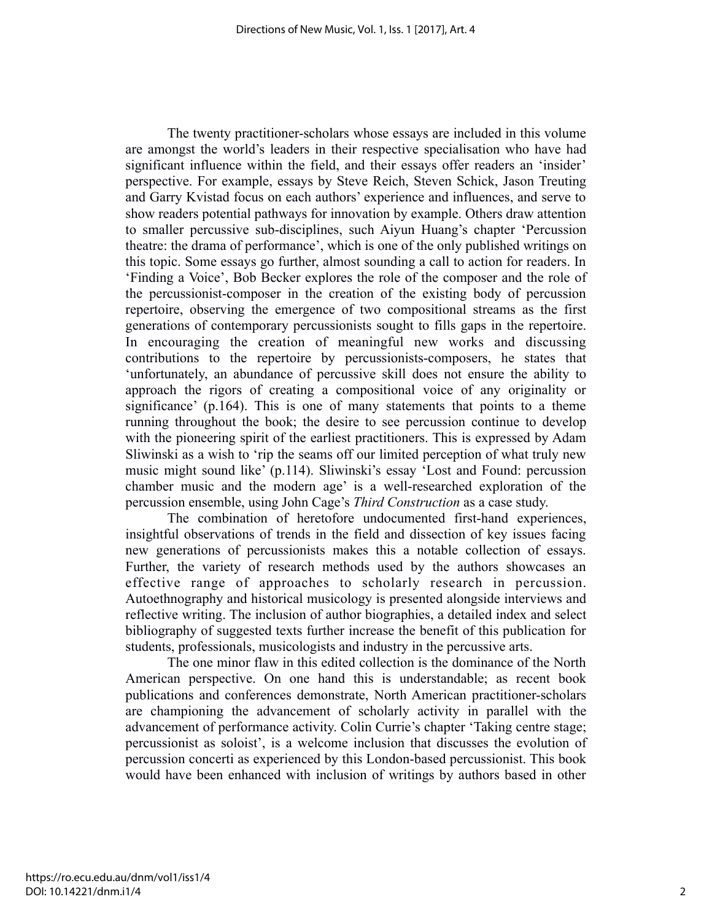The twenty practitioner-scholars whose essays are included in this volume are amongst the world's leaders in their respective specialisation who have had significant influence within the field, and their essays offer readers an 'insider' perspective. For example, essays by Steve Reich, Steven Schick, Jason Treuting and Garry Kvistad focus on each authors' experience and influences, and serve to show readers potential pathways for innovation by example. Others draw attention to smaller percussive sub-disciplines, such Aiyun Huang's chapter 'Percussion theatre: the drama of performance', which is one of the only published writings on this topic. Some essays go further, almost sounding a call to action for readers. In 'Finding a Voice', Bob Becker explores the role of the composer and the role of the percussionist-composer in the creation of the existing body of percussion repertoire, observing the emergence of two compositional streams as the first generations of contemporary percussionists sought to fills gaps in the repertoire. In encouraging the creation of meaningful new works and discussing contributions to the repertoire by percussionists-composers, he states that 'unfortunately, an abundance of percussive skill does not ensure the ability to approach the rigors of creating a compositional voice of any originality or significance' (p.164). This is one of many statements that points to a theme running throughout the book; the desire to see percussion continue to develop with the pioneering spirit of the earliest practitioners. This is expressed by Adam Sliwinski as a wish to 'rip the seams off our limited perception of what truly new music might sound like' (p.114). Sliwinski's essay 'Lost and Found: percussion chamber music and the modern age' is a well-researched exploration of the percussion ensemble, using John Cage's *Third Construction* as a case study.

The combination of heretofore undocumented first-hand experiences, insightful observations of trends in the field and dissection of key issues facing new generations of percussionists makes this a notable collection of essays. Further, the variety of research methods used by the authors showcases an effective range of approaches to scholarly research in percussion. Autoethnography and historical musicology is presented alongside interviews and reflective writing. The inclusion of author biographies, a detailed index and select bibliography of suggested texts further increase the benefit of this publication for students, professionals, musicologists and industry in the percussive arts.

The one minor flaw in this edited collection is the dominance of the North American perspective. On one hand this is understandable; as recent book publications and conferences demonstrate, North American practitioner-scholars are championing the advancement of scholarly activity in parallel with the advancement of performance activity. Colin Currie's chapter 'Taking centre stage; percussionist as soloist', is a welcome inclusion that discusses the evolution of percussion concerti as experienced by this London-based percussionist. This book would have been enhanced with inclusion of writings by authors based in other